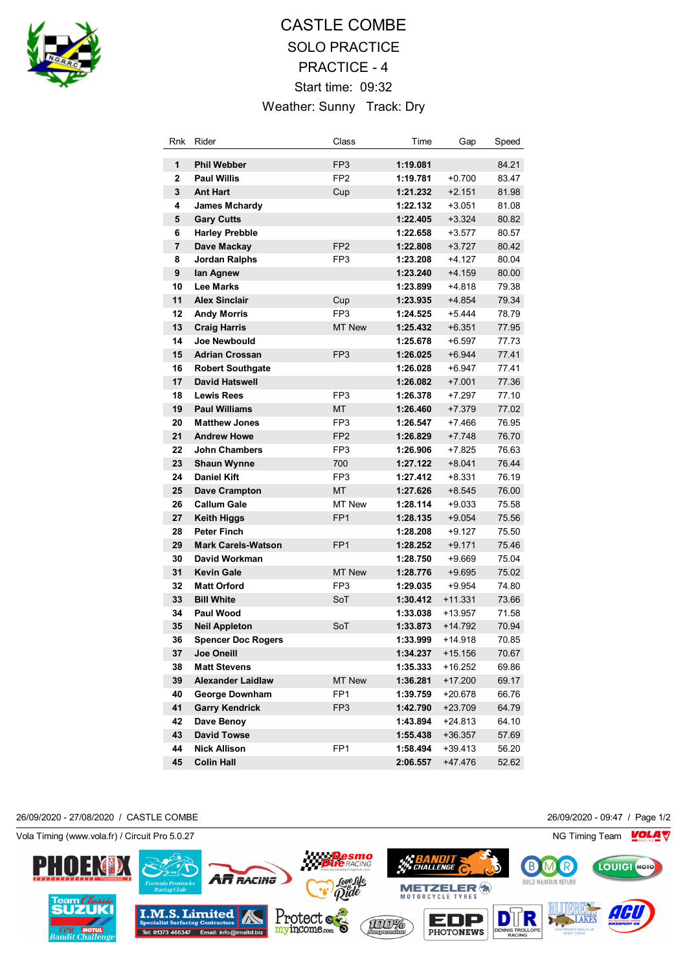

## CASTLE COMBE SOLO PRACTICE PRACTICE - 4 Start time: 09:32 Weather: Sunny Track: Dry

| Rnk                     | Rider                                   | Class           | Time                 | Gap                  | Speed          |
|-------------------------|-----------------------------------------|-----------------|----------------------|----------------------|----------------|
| 1                       | <b>Phil Webber</b>                      | FP <sub>3</sub> | 1:19.081             |                      | 84.21          |
| $\overline{2}$          | <b>Paul Willis</b>                      | FP <sub>2</sub> | 1:19.781             | $+0.700$             | 83.47          |
| 3                       | <b>Ant Hart</b>                         | Cup             | 1:21.232             | $+2.151$             | 81.98          |
| 4                       | <b>James Mchardy</b>                    |                 | 1:22.132             | $+3.051$             | 81.08          |
| 5                       | <b>Gary Cutts</b>                       |                 | 1:22.405             | $+3.324$             | 80.82          |
| 6                       | <b>Harley Prebble</b>                   |                 | 1:22.658             | $+3.577$             | 80.57          |
| $\overline{\mathbf{r}}$ | Dave Mackay                             | FP <sub>2</sub> | 1:22.808             | $+3.727$             | 80.42          |
| 8                       | <b>Jordan Ralphs</b>                    | FP3             | 1:23.208             | $+4.127$             | 80.04          |
| 9                       | lan Agnew                               |                 | 1:23.240             | $+4.159$             | 80.00          |
| 10                      | <b>Lee Marks</b>                        |                 | 1:23.899             | $+4.818$             | 79.38          |
| 11                      | <b>Alex Sinclair</b>                    | Cup             | 1:23.935             | $+4.854$             | 79.34          |
| 12                      | <b>Andy Morris</b>                      | FP <sub>3</sub> | 1:24.525             | $+5.444$             | 78.79          |
| 13                      | <b>Craig Harris</b>                     | <b>MT New</b>   | 1:25.432             | $+6.351$             | 77.95          |
| 14                      | <b>Joe Newbould</b>                     |                 | 1:25.678             | $+6.597$             | 77.73          |
| 15                      | <b>Adrian Crossan</b>                   | FP <sub>3</sub> | 1:26.025             | $+6.944$             | 77.41          |
| 16                      | <b>Robert Southgate</b>                 |                 | 1:26.028             | $+6.947$             | 77.41          |
| 17                      | <b>David Hatswell</b>                   |                 | 1:26.082             | $+7.001$             | 77.36          |
| 18                      | <b>Lewis Rees</b>                       | FP3             | 1:26.378             | $+7.297$             | 77.10          |
| 19                      | <b>Paul Williams</b>                    | МT              | 1:26.460             | $+7.379$             | 77.02          |
| 20                      | <b>Matthew Jones</b>                    | FP <sub>3</sub> | 1:26.547             | $+7.466$             | 76.95          |
| 21                      | <b>Andrew Howe</b>                      | FP <sub>2</sub> | 1:26.829             | $+7.748$             | 76.70          |
| 22                      | <b>John Chambers</b>                    | FP3             | 1:26.906             | +7.825               | 76.63          |
| 23                      | <b>Shaun Wynne</b>                      | 700             | 1:27.122             | $+8.041$             | 76.44          |
| 24                      | Daniel Kift                             | FP3             | 1:27.412             | +8.331               | 76.19          |
| 25                      | <b>Dave Crampton</b>                    | <b>MT</b>       | 1:27.626             | $+8.545$             | 76.00          |
| 26                      | <b>Callum Gale</b>                      | MT New          | 1:28.114             | $+9.033$             | 75.58          |
| 27                      | <b>Keith Higgs</b>                      | FP <sub>1</sub> | 1:28.135             | $+9.054$             | 75.56          |
| 28                      | <b>Peter Finch</b>                      |                 | 1:28.208             | $+9.127$             | 75.50          |
| 29                      | <b>Mark Carels-Watson</b>               | FP <sub>1</sub> | 1:28.252             | $+9.171$             | 75.46          |
| 30                      | David Workman                           |                 | 1:28.750             | $+9.669$             | 75.04          |
| 31                      | <b>Kevin Gale</b><br><b>Matt Orford</b> | <b>MT New</b>   | 1:28.776             | $+9.695$             | 75.02          |
| 32                      |                                         | FP <sub>3</sub> | 1:29.035             | $+9.954$             | 74.80          |
| 33                      | <b>Bill White</b><br><b>Paul Wood</b>   | SoT             | 1:30.412             | $+11.331$            | 73.66          |
| 34<br>35                | <b>Neil Appleton</b>                    | SoT             | 1:33.038<br>1:33.873 | $+13.957$<br>+14.792 | 71.58<br>70.94 |
| 36                      | <b>Spencer Doc Rogers</b>               |                 | 1:33.999             | $+14.918$            | 70.85          |
| 37                      | Joe Oneill                              |                 | 1:34.237             | +15.156              | 70.67          |
| 38                      | <b>Matt Stevens</b>                     |                 | 1:35.333             | +16.252              | 69.86          |
| 39                      | <b>Alexander Laidlaw</b>                | <b>MT New</b>   | 1:36.281             | $+17.200$            | 69.17          |
| 40                      | George Downham                          | FP1             | 1:39.759             | +20.678              | 66.76          |
| 41                      | <b>Garry Kendrick</b>                   | FP3             | 1:42.790             | $+23.709$            | 64.79          |
| 42                      | Dave Benoy                              |                 | 1:43.894             | $+24.813$            | 64.10          |
| 43                      | <b>David Towse</b>                      |                 | 1:55.438             | $+36.357$            | 57.69          |
| 44                      | <b>Nick Allison</b>                     | FP <sub>1</sub> | 1:58.494             | $+39.413$            | 56.20          |
| 45                      | <b>Colin Hall</b>                       |                 | 2:06.557             | +47.476              | 52.62          |
|                         |                                         |                 |                      |                      |                |

26/09/2020 - 27/08/2020 / CASTLE COMBE 26/09/2020 - 09:47 / Page 1/2

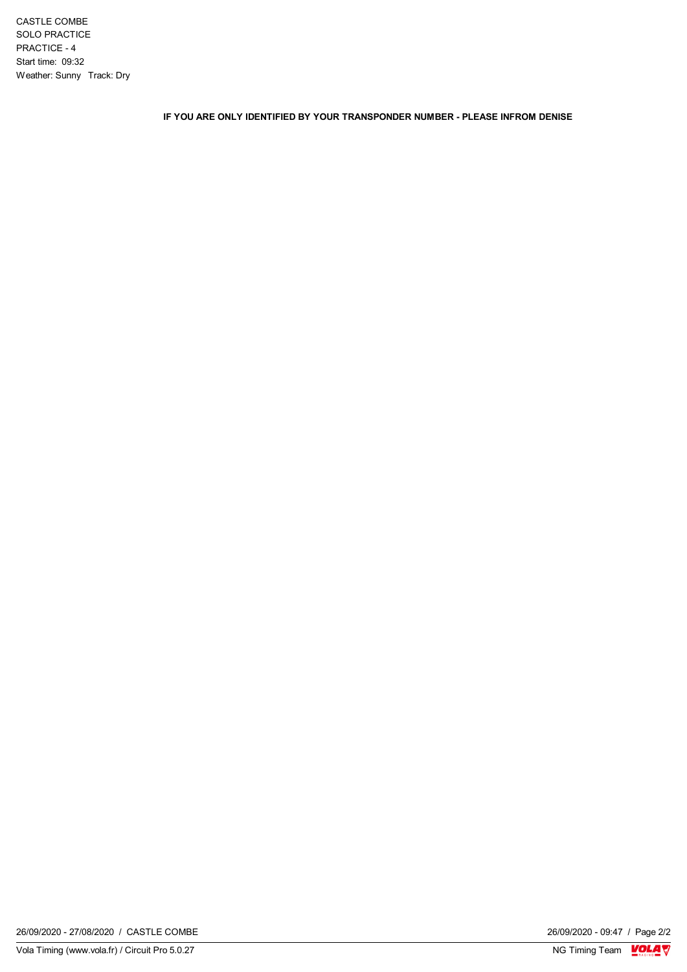CASTLE COMBE SOLO PRACTICE PRACTICE - 4 Start time: 09:32 Weather: Sunny Track: Dry

**IF YOU ARE ONLY IDENTIFIED BY YOUR TRANSPONDER NUMBER - PLEASE INFROM DENISE**

 $\frac{26/09/2020 - 09:47}{\text{NG Timing Team}}$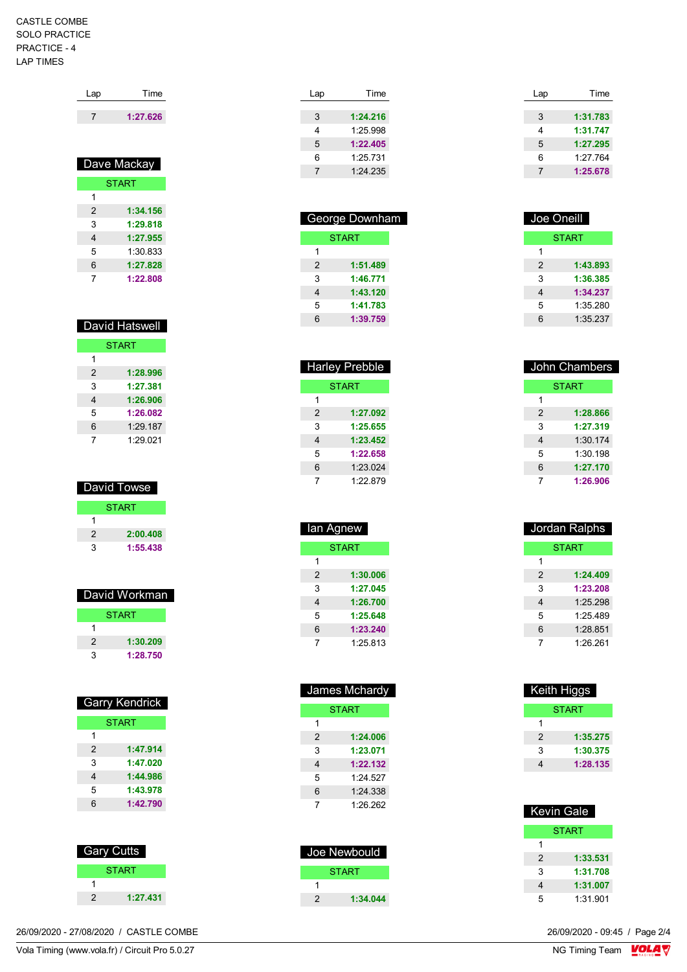## CASTLE COMBE SOLO PRACTICE PRACTICE - 4 LAP TIMES

| Lap            | Time                        |
|----------------|-----------------------------|
| 7              | 1:27.626                    |
|                | Dave Mackay<br><b>START</b> |
|                |                             |
| 1              |                             |
| $\mathfrak{p}$ | 1:34.156                    |
| 3              | 1:29.818                    |
| 4              | 1:27.955                    |
| 5              | 1:30.833                    |
| 6              | 1:27.828                    |
| 7              | 1:22.808                    |

| <b>David Hatswell</b> |              |  |
|-----------------------|--------------|--|
|                       | <b>START</b> |  |
| 1                     |              |  |
| 2                     | 1:28.996     |  |
| 3                     | 1:27.381     |  |
| 4                     | 1:26.906     |  |
| 5                     | 1:26.082     |  |
| 6                     | 1:29.187     |  |
|                       | 1:29.021     |  |

| David Towse   |          |  |
|---------------|----------|--|
| <b>START</b>  |          |  |
|               |          |  |
| $\mathcal{P}$ | 2:00.408 |  |
| 3             | 1:55.438 |  |

| David Workman |              |
|---------------|--------------|
|               | <b>START</b> |
|               |              |
| 2             | 1:30.209     |
|               | 1:28.750     |

| <b>Garry Kendrick</b> |              |  |
|-----------------------|--------------|--|
|                       | <b>START</b> |  |
| 1                     |              |  |
| $\mathcal{P}$         | 1:47.914     |  |
| 3                     | 1:47.020     |  |
| 4                     | 1:44.986     |  |
| 5                     | 1:43.978     |  |
| 6                     | 1:42.790     |  |
|                       |              |  |

| Gary Cutts |              |  |
|------------|--------------|--|
|            | <b>START</b> |  |
|            |              |  |
| 2          | 1:27.431     |  |

| Lap | Time     |
|-----|----------|
|     |          |
| 3   | 1:24.216 |
| 4   | 1.2598   |
| 5   | 1:22.405 |
| 6   | 1:25731  |
| 7   | 1.24235  |
|     |          |

| George Downham |          |  |
|----------------|----------|--|
| <b>START</b>   |          |  |
| 1              |          |  |
| $\mathcal{P}$  | 1:51.489 |  |
| 3              | 1:46.771 |  |
| 4              | 1:43.120 |  |
| 5              | 1:41.783 |  |
| 6              | 1:39.759 |  |
|                |          |  |

| <b>Harley Prebble</b> |          |  |
|-----------------------|----------|--|
| <b>START</b>          |          |  |
| 1                     |          |  |
| 2                     | 1:27.092 |  |
| 3                     | 1:25.655 |  |
| 4                     | 1:23.452 |  |
| 5                     | 1:22.658 |  |
| 6                     | 1:23.024 |  |
|                       | 1.22879  |  |

| lan Agnew |              |  |  |
|-----------|--------------|--|--|
|           | <b>START</b> |  |  |
| 1         |              |  |  |
| 2         | 1:30.006     |  |  |
| 3         | 1:27.045     |  |  |
| 4         | 1:26.700     |  |  |
| 5         | 1:25.648     |  |  |
| 6         | 1:23.240     |  |  |
| 7         | 1:25.813     |  |  |

| James Mchardy  |              |  |
|----------------|--------------|--|
|                | <b>START</b> |  |
| 1              |              |  |
| $\mathfrak{p}$ | 1:24.006     |  |
| 3              | 1:23.071     |  |
| 4              | 1:22.132     |  |
| 5              | 1.24527      |  |
| 6              | 1:24.338     |  |
| 7              | 1:26.262     |  |

| Joe Newbould |          |
|--------------|----------|
|              | START    |
|              |          |
| 2            | 1:34.044 |

| Time     |  |
|----------|--|
|          |  |
| 1:31.783 |  |
| 1:31.747 |  |
| 1:27.295 |  |
| 1:27.764 |  |
| 1:25.678 |  |
|          |  |

| Joe Oneill |          |
|------------|----------|
|            | START    |
| 1          |          |
| 2          | 1:43.893 |
| 3          | 1:36.385 |
| 4          | 1:34.237 |
| 5          | 1:35.280 |
| 6          | 1:35.237 |

| John Chambers |              |
|---------------|--------------|
|               | <b>START</b> |
| 1             |              |
| 2             | 1:28.866     |
| 3             | 1:27.319     |
| 4             | 1:30.174     |
| 5             | 1:30.198     |
| 6             | 1:27.170     |
| 7             | 1:26.906     |

|   | Jordan Ralphs |
|---|---------------|
|   | <b>START</b>  |
| 1 |               |
| 2 | 1:24.409      |
| 3 | 1:23.208      |
| 4 | 1.25.298      |
| 5 | 1.25489       |
| 6 | 1:28.851      |
| 7 | 1:26.261      |
|   |               |

| Keith Higgs |              |
|-------------|--------------|
|             | <b>START</b> |
| 1           |              |
| 2           | 1:35.275     |
| 3           | 1:30.375     |
| 4           | 1:28.135     |

| <b>Kevin Gale</b> |              |
|-------------------|--------------|
|                   | <b>START</b> |
| 1                 |              |
| 2                 | 1:33.531     |
| 3                 | 1:31.708     |
| 4                 | 1:31.007     |
| 5                 | 1:31.901     |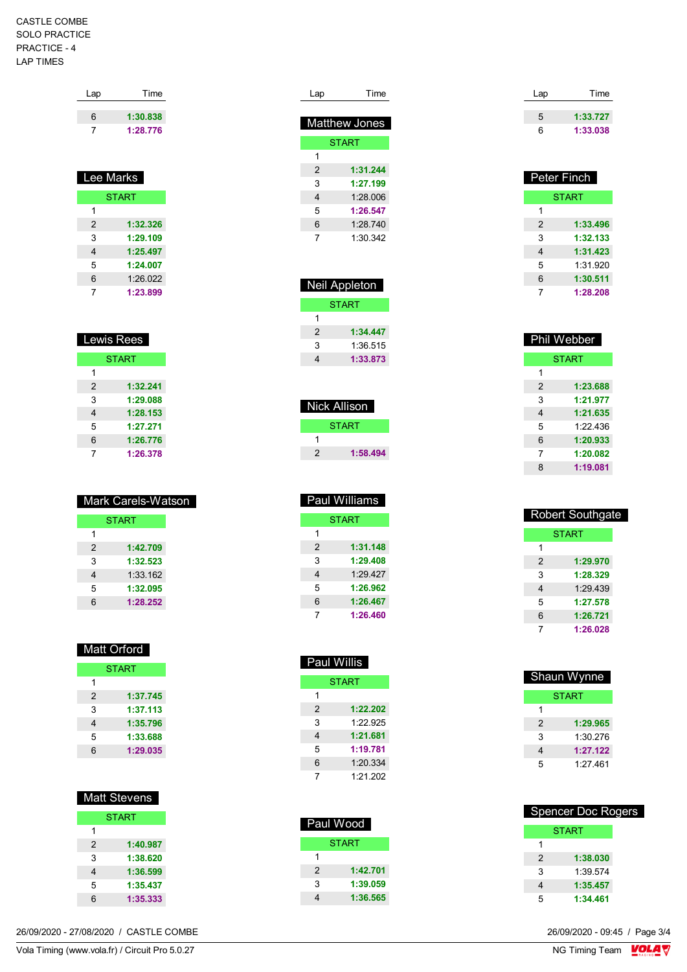## CASTLE COMBE SOLO PRACTICE PRACTICE - 4 LAP TIMES

| Lap | Time     |
|-----|----------|
| 6   | 1:30.838 |
|     | 1:28.776 |

| <b>Lee Marks</b> |              |  |
|------------------|--------------|--|
|                  | <b>START</b> |  |
| 1                |              |  |
| 2                | 1:32.326     |  |
| 3                | 1:29.109     |  |
| 4                | 1:25.497     |  |
| 5                | 1:24.007     |  |
| 6                | 1:26.022     |  |
|                  | 1:23.899     |  |

| <b>Lewis Rees</b> |              |
|-------------------|--------------|
|                   | <b>START</b> |
| 1                 |              |
| 2                 | 1:32.241     |
| 3                 | 1:29.088     |
| 4                 | 1:28.153     |
| 5                 | 1:27.271     |
| 6                 | 1:26.776     |
|                   | 1:26.378     |

| Mark Carels-Watson |              |  |
|--------------------|--------------|--|
|                    | <b>START</b> |  |
| 1                  |              |  |
| $\mathcal{P}$      | 1:42.709     |  |
| 3                  | 1:32.523     |  |
| 4                  | 1:33.162     |  |
| 5                  | 1:32.095     |  |
| հ                  | 1:28.252     |  |

|               | Matt Orford  |
|---------------|--------------|
|               | <b>START</b> |
| 1             |              |
| $\mathcal{P}$ | 1:37.745     |
| 3             | 1:37.113     |
| 4             | 1:35.796     |
| 5             | 1:33.688     |
| 6             | 1:29.035     |

| <u>Ma</u> tt Stevens |          |
|----------------------|----------|
| <b>START</b>         |          |
|                      |          |
| 2                    | 1:40.987 |

| 3 | 1:38.620 |
|---|----------|
| 4 | 1:36.599 |
| 5 | 1:35.437 |
| 6 | 1:35.333 |
|   |          |

26/09/2020 - 27/08/2020 / CASTLE COMBE

| Lap            | Time                 |
|----------------|----------------------|
|                |                      |
|                | <b>Matthew Jones</b> |
|                | <b>START</b>         |
| 1              |                      |
| $\overline{2}$ | 1:31.244             |
| 3              | 1:27.199             |
| 4              | 1.28006              |
| 5              | 1:26.547             |
| 6              | 1.28740              |
| 7              | 1:30.342             |

| <b>Neil Appleton</b> |          |  |
|----------------------|----------|--|
| <b>START</b>         |          |  |
| 1                    |          |  |
| $\mathcal{P}$        | 1:34.447 |  |
| 3                    | 1:36.515 |  |
| 4                    | 1:33.873 |  |

| Nick Allison |              |
|--------------|--------------|
|              | <b>START</b> |
|              |              |
| 2            | 1:58.494     |

| Paul Williams             |  |
|---------------------------|--|
| <b>START</b>              |  |
| 1                         |  |
| 1:31.148<br>$\mathcal{P}$ |  |
| 3<br>1:29.408             |  |
| 1:29.427<br>4             |  |
| 5<br>1:26.962             |  |
| 1:26.467<br>6             |  |
| 1:26.460<br>7             |  |

| Paul Wi <u>llis</u> |          |  |
|---------------------|----------|--|
| <b>START</b>        |          |  |
| 1                   |          |  |
| 2                   | 1:22.202 |  |
| 3                   | 1.22995  |  |
| 4                   | 1:21.681 |  |
| 5                   | 1:19.781 |  |
| 6                   | 1:20.334 |  |
| 7                   | 1:21.202 |  |
|                     |          |  |

| Paul Wood |          |  |
|-----------|----------|--|
| START     |          |  |
| 1         |          |  |
| 2         | 1:42.701 |  |
| 3         | 1:39.059 |  |
|           | 1:36.565 |  |

| Lap | Time     |
|-----|----------|
| 5   | 1:33.727 |
|     |          |
| հ   | 1:33.038 |

| <b>Peter Finch</b> |          |
|--------------------|----------|
| <b>START</b>       |          |
| 1                  |          |
| 2                  | 1:33.496 |
| 3                  | 1:32.133 |
| 4                  | 1:31.423 |
| 5                  | 1:31.920 |
| 6                  | 1:30.511 |
| 7                  | 1:28.208 |

| Phil Webber    |          |
|----------------|----------|
| <b>START</b>   |          |
| 1              |          |
| $\overline{2}$ | 1:23.688 |
| 3              | 1:21.977 |
| 4              | 1:21.635 |
| 5              | 1.22436  |
| 6              | 1:20.933 |
| 7              | 1:20.082 |
| 8              | 1:19.081 |

| <b>Robert Southgate</b> |              |  |
|-------------------------|--------------|--|
|                         | <b>START</b> |  |
| 1                       |              |  |
| $\mathfrak{p}$          | 1:29.970     |  |
| 3                       | 1:28.329     |  |
| 4                       | 1.29439      |  |
| 5                       | 1:27.578     |  |
| 6                       | 1:26.721     |  |
| 7                       | 1:26.028     |  |

| <b>Shaun Wynne</b> |          |
|--------------------|----------|
|                    | START    |
| 1                  |          |
| 2                  | 1:29.965 |
| 3                  | 1:30.276 |
| 4                  | 1:27.122 |
| 5                  | 1.27461  |

| <b>Spencer Doc Rogers</b> |              |  |
|---------------------------|--------------|--|
|                           | <b>START</b> |  |
| 1                         |              |  |
| $\mathcal{P}$             | 1:38.030     |  |
| 3                         | 1:39.574     |  |
| 4                         | 1:35.457     |  |
| 5                         | 1:34.461     |  |

 $\frac{26}{09}{2020} - \frac{09}{45}$  / Page 3/4<br>NG Timing Team